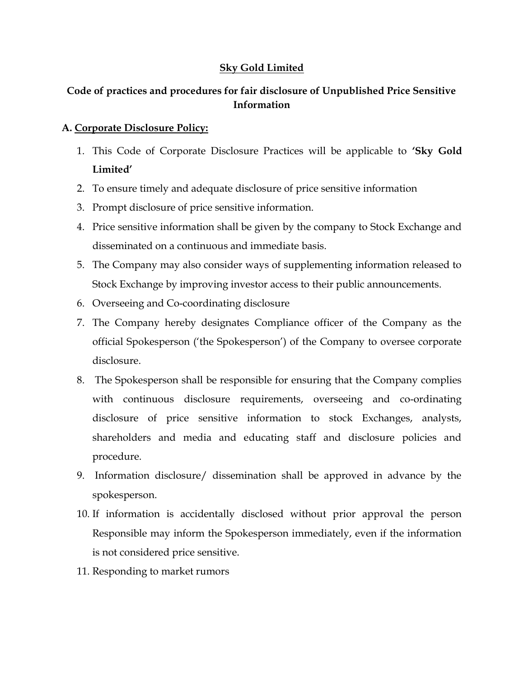### Sky Gold Limited

# Code of practices and procedures for fair disclosure of Unpublished Price Sensitive Information

#### A. Corporate Disclosure Policy:

- 1. This Code of Corporate Disclosure Practices will be applicable to 'Sky Gold Limited'
- 2. To ensure timely and adequate disclosure of price sensitive information
- 3. Prompt disclosure of price sensitive information.
- 4. Price sensitive information shall be given by the company to Stock Exchange and disseminated on a continuous and immediate basis.
- 5. The Company may also consider ways of supplementing information released to Stock Exchange by improving investor access to their public announcements.
- 6. Overseeing and Co-coordinating disclosure
- 7. The Company hereby designates Compliance officer of the Company as the official Spokesperson ('the Spokesperson') of the Company to oversee corporate disclosure.
- 8. The Spokesperson shall be responsible for ensuring that the Company complies with continuous disclosure requirements, overseeing and co-ordinating disclosure of price sensitive information to stock Exchanges, analysts, shareholders and media and educating staff and disclosure policies and procedure.
- 9. Information disclosure/ dissemination shall be approved in advance by the spokesperson.
- 10. If information is accidentally disclosed without prior approval the person Responsible may inform the Spokesperson immediately, even if the information is not considered price sensitive.
- 11. Responding to market rumors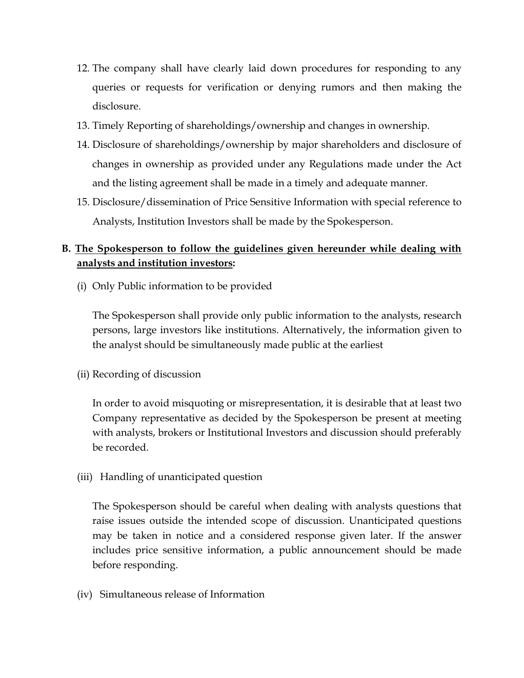- 12. The company shall have clearly laid down procedures for responding to any queries or requests for verification or denying rumors and then making the disclosure.
- 13. Timely Reporting of shareholdings/ownership and changes in ownership.
- 14. Disclosure of shareholdings/ownership by major shareholders and disclosure of changes in ownership as provided under any Regulations made under the Act and the listing agreement shall be made in a timely and adequate manner.
- 15. Disclosure/dissemination of Price Sensitive Information with special reference to Analysts, Institution Investors shall be made by the Spokesperson.

## B. The Spokesperson to follow the guidelines given hereunder while dealing with analysts and institution investors:

(i) Only Public information to be provided

The Spokesperson shall provide only public information to the analysts, research persons, large investors like institutions. Alternatively, the information given to the analyst should be simultaneously made public at the earliest

(ii) Recording of discussion

In order to avoid misquoting or misrepresentation, it is desirable that at least two Company representative as decided by the Spokesperson be present at meeting with analysts, brokers or Institutional Investors and discussion should preferably be recorded.

(iii) Handling of unanticipated question

The Spokesperson should be careful when dealing with analysts questions that raise issues outside the intended scope of discussion. Unanticipated questions may be taken in notice and a considered response given later. If the answer includes price sensitive information, a public announcement should be made before responding.

(iv) Simultaneous release of Information